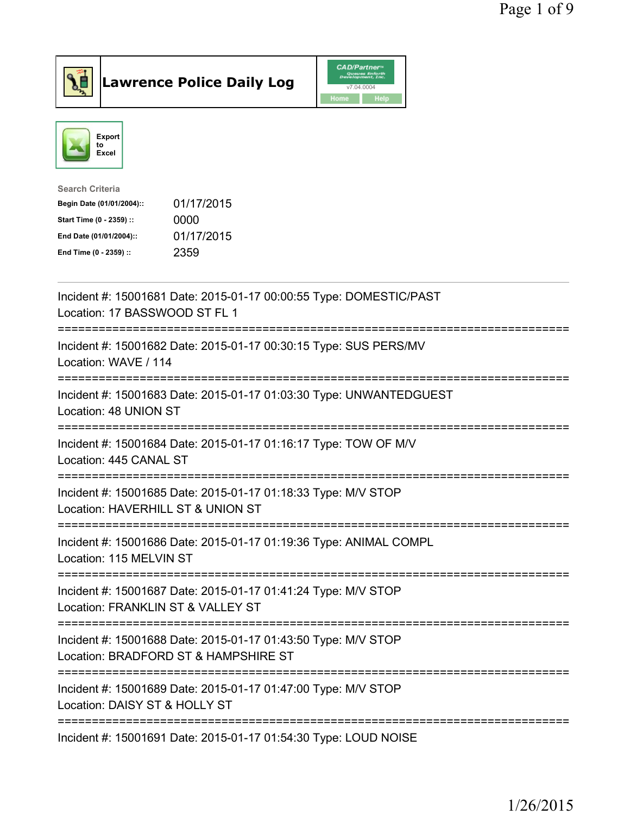



| <b>Search Criteria</b>    |            |
|---------------------------|------------|
| Begin Date (01/01/2004):: | 01/17/2015 |
| Start Time (0 - 2359) ::  | 0000       |
| End Date (01/01/2004)::   | 01/17/2015 |
| End Time (0 - 2359) ::    | 2359       |
|                           |            |

| Incident #: 15001681 Date: 2015-01-17 00:00:55 Type: DOMESTIC/PAST<br>Location: 17 BASSWOOD ST FL 1                      |
|--------------------------------------------------------------------------------------------------------------------------|
| Incident #: 15001682 Date: 2015-01-17 00:30:15 Type: SUS PERS/MV<br>Location: WAVE / 114                                 |
| Incident #: 15001683 Date: 2015-01-17 01:03:30 Type: UNWANTEDGUEST<br>Location: 48 UNION ST                              |
| Incident #: 15001684 Date: 2015-01-17 01:16:17 Type: TOW OF M/V<br>Location: 445 CANAL ST<br>--------------              |
| Incident #: 15001685 Date: 2015-01-17 01:18:33 Type: M/V STOP<br>Location: HAVERHILL ST & UNION ST                       |
| Incident #: 15001686 Date: 2015-01-17 01:19:36 Type: ANIMAL COMPL<br>Location: 115 MELVIN ST<br>======================== |
| Incident #: 15001687 Date: 2015-01-17 01:41:24 Type: M/V STOP<br>Location: FRANKLIN ST & VALLEY ST                       |
| Incident #: 15001688 Date: 2015-01-17 01:43:50 Type: M/V STOP<br>Location: BRADFORD ST & HAMPSHIRE ST                    |
| Incident #: 15001689 Date: 2015-01-17 01:47:00 Type: M/V STOP<br>Location: DAISY ST & HOLLY ST                           |
| Incident #: 15001691 Date: 2015-01-17 01:54:30 Type: LOUD NOISE                                                          |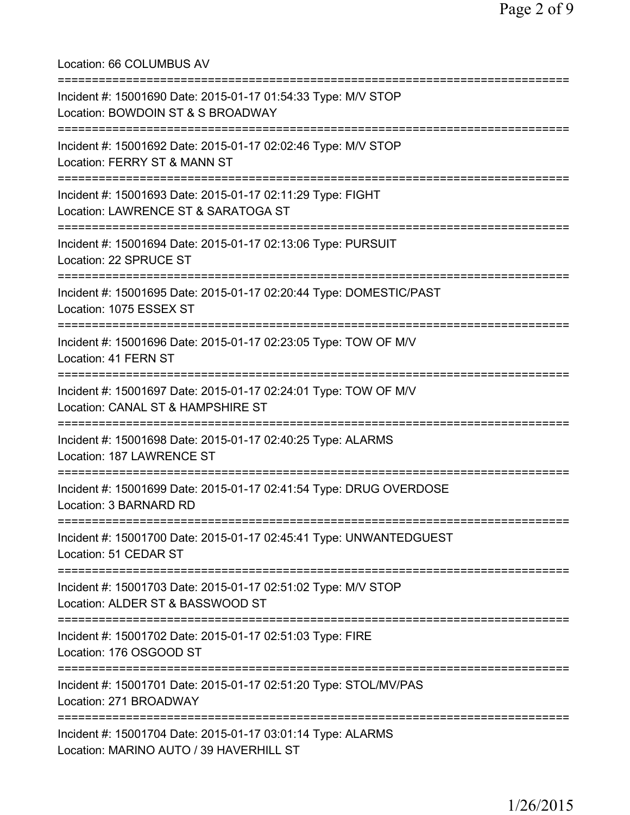Location: 66 COLUMBUS AV =========================================================================== Incident #: 15001690 Date: 2015-01-17 01:54:33 Type: M/V STOP Location: BOWDOIN ST & S BROADWAY =========================================================================== Incident #: 15001692 Date: 2015-01-17 02:02:46 Type: M/V STOP Location: FERRY ST & MANN ST =========================================================================== Incident #: 15001693 Date: 2015-01-17 02:11:29 Type: FIGHT Location: LAWRENCE ST & SARATOGA ST =========================================================================== Incident #: 15001694 Date: 2015-01-17 02:13:06 Type: PURSUIT Location: 22 SPRUCE ST =========================================================================== Incident #: 15001695 Date: 2015-01-17 02:20:44 Type: DOMESTIC/PAST Location: 1075 ESSEX ST =========================================================================== Incident #: 15001696 Date: 2015-01-17 02:23:05 Type: TOW OF M/V Location: 41 FERN ST =========================================================================== Incident #: 15001697 Date: 2015-01-17 02:24:01 Type: TOW OF M/V Location: CANAL ST & HAMPSHIRE ST =========================================================================== Incident #: 15001698 Date: 2015-01-17 02:40:25 Type: ALARMS Location: 187 LAWRENCE ST =========================================================================== Incident #: 15001699 Date: 2015-01-17 02:41:54 Type: DRUG OVERDOSE Location: 3 BARNARD RD =========================================================================== Incident #: 15001700 Date: 2015-01-17 02:45:41 Type: UNWANTEDGUEST Location: 51 CEDAR ST =========================================================================== Incident #: 15001703 Date: 2015-01-17 02:51:02 Type: M/V STOP Location: ALDER ST & BASSWOOD ST =========================================================================== Incident #: 15001702 Date: 2015-01-17 02:51:03 Type: FIRE Location: 176 OSGOOD ST =========================================================================== Incident #: 15001701 Date: 2015-01-17 02:51:20 Type: STOL/MV/PAS Location: 271 BROADWAY =========================================================================== Incident #: 15001704 Date: 2015-01-17 03:01:14 Type: ALARMS Location: MARINO AUTO / 39 HAVERHILL ST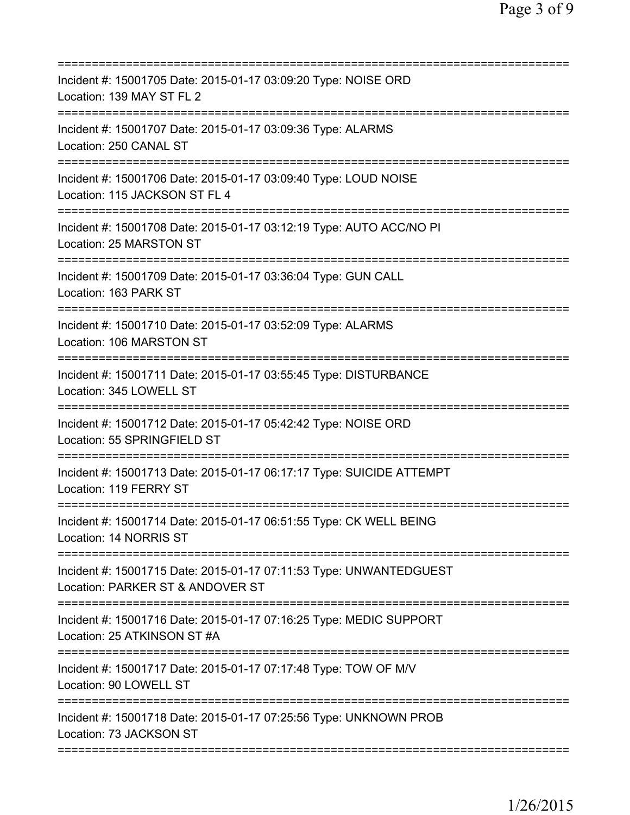| Incident #: 15001705 Date: 2015-01-17 03:09:20 Type: NOISE ORD<br>Location: 139 MAY ST FL 2                                         |
|-------------------------------------------------------------------------------------------------------------------------------------|
| Incident #: 15001707 Date: 2015-01-17 03:09:36 Type: ALARMS<br>Location: 250 CANAL ST                                               |
| Incident #: 15001706 Date: 2015-01-17 03:09:40 Type: LOUD NOISE<br>Location: 115 JACKSON ST FL 4<br>======================          |
| Incident #: 15001708 Date: 2015-01-17 03:12:19 Type: AUTO ACC/NO PI<br>Location: 25 MARSTON ST                                      |
| Incident #: 15001709 Date: 2015-01-17 03:36:04 Type: GUN CALL<br>Location: 163 PARK ST                                              |
| =====================================<br>Incident #: 15001710 Date: 2015-01-17 03:52:09 Type: ALARMS<br>Location: 106 MARSTON ST    |
| Incident #: 15001711 Date: 2015-01-17 03:55:45 Type: DISTURBANCE<br>Location: 345 LOWELL ST<br>:=================================== |
| Incident #: 15001712 Date: 2015-01-17 05:42:42 Type: NOISE ORD<br>Location: 55 SPRINGFIELD ST                                       |
| Incident #: 15001713 Date: 2015-01-17 06:17:17 Type: SUICIDE ATTEMPT<br>Location: 119 FERRY ST                                      |
| Incident #: 15001714 Date: 2015-01-17 06:51:55 Type: CK WELL BEING<br>Location: 14 NORRIS ST                                        |
| Incident #: 15001715 Date: 2015-01-17 07:11:53 Type: UNWANTEDGUEST<br>Location: PARKER ST & ANDOVER ST                              |
| Incident #: 15001716 Date: 2015-01-17 07:16:25 Type: MEDIC SUPPORT<br>Location: 25 ATKINSON ST #A                                   |
| Incident #: 15001717 Date: 2015-01-17 07:17:48 Type: TOW OF M/V<br>Location: 90 LOWELL ST                                           |
| Incident #: 15001718 Date: 2015-01-17 07:25:56 Type: UNKNOWN PROB<br>Location: 73 JACKSON ST                                        |
|                                                                                                                                     |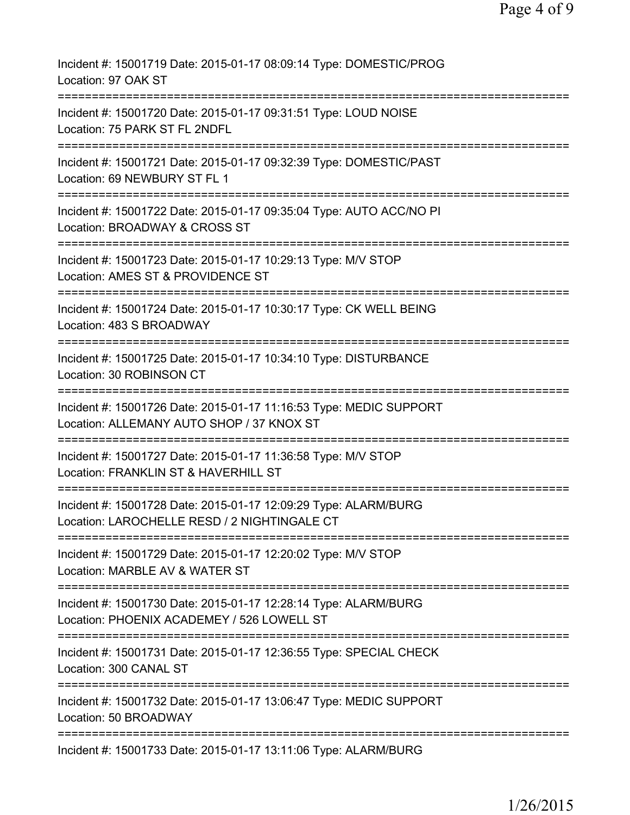| Incident #: 15001719 Date: 2015-01-17 08:09:14 Type: DOMESTIC/PROG<br>Location: 97 OAK ST                                            |
|--------------------------------------------------------------------------------------------------------------------------------------|
| Incident #: 15001720 Date: 2015-01-17 09:31:51 Type: LOUD NOISE<br>Location: 75 PARK ST FL 2NDFL                                     |
| Incident #: 15001721 Date: 2015-01-17 09:32:39 Type: DOMESTIC/PAST<br>Location: 69 NEWBURY ST FL 1                                   |
| Incident #: 15001722 Date: 2015-01-17 09:35:04 Type: AUTO ACC/NO PI<br>Location: BROADWAY & CROSS ST<br>======================       |
| Incident #: 15001723 Date: 2015-01-17 10:29:13 Type: M/V STOP<br>Location: AMES ST & PROVIDENCE ST                                   |
| Incident #: 15001724 Date: 2015-01-17 10:30:17 Type: CK WELL BEING<br>Location: 483 S BROADWAY                                       |
| Incident #: 15001725 Date: 2015-01-17 10:34:10 Type: DISTURBANCE<br>Location: 30 ROBINSON CT                                         |
| =============<br>Incident #: 15001726 Date: 2015-01-17 11:16:53 Type: MEDIC SUPPORT<br>Location: ALLEMANY AUTO SHOP / 37 KNOX ST     |
| Incident #: 15001727 Date: 2015-01-17 11:36:58 Type: M/V STOP<br>Location: FRANKLIN ST & HAVERHILL ST                                |
| Incident #: 15001728 Date: 2015-01-17 12:09:29 Type: ALARM/BURG<br>Location: LAROCHELLE RESD / 2 NIGHTINGALE CT                      |
| Incident #: 15001729 Date: 2015-01-17 12:20:02 Type: M/V STOP<br>Location: MARBLE AV & WATER ST                                      |
| Incident #: 15001730 Date: 2015-01-17 12:28:14 Type: ALARM/BURG<br>Location: PHOENIX ACADEMEY / 526 LOWELL ST                        |
| ====================================<br>Incident #: 15001731 Date: 2015-01-17 12:36:55 Type: SPECIAL CHECK<br>Location: 300 CANAL ST |
| Incident #: 15001732 Date: 2015-01-17 13:06:47 Type: MEDIC SUPPORT<br>Location: 50 BROADWAY                                          |
| Incident #: 15001733 Date: 2015-01-17 13:11:06 Type: ALARM/BURG                                                                      |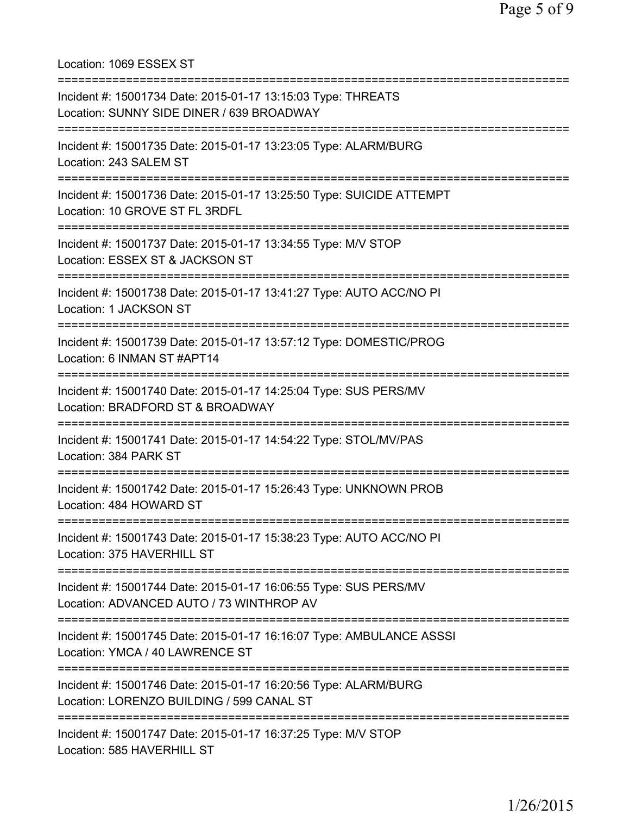Location: 1069 ESSEX ST =========================================================================== Incident #: 15001734 Date: 2015-01-17 13:15:03 Type: THREATS Location: SUNNY SIDE DINER / 639 BROADWAY =========================================================================== Incident #: 15001735 Date: 2015-01-17 13:23:05 Type: ALARM/BURG Location: 243 SALEM ST =========================================================================== Incident #: 15001736 Date: 2015-01-17 13:25:50 Type: SUICIDE ATTEMPT Location: 10 GROVE ST FL 3RDFL =========================================================================== Incident #: 15001737 Date: 2015-01-17 13:34:55 Type: M/V STOP Location: ESSEX ST & JACKSON ST =========================================================================== Incident #: 15001738 Date: 2015-01-17 13:41:27 Type: AUTO ACC/NO PI Location: 1 JACKSON ST =========================================================================== Incident #: 15001739 Date: 2015-01-17 13:57:12 Type: DOMESTIC/PROG Location: 6 INMAN ST #APT14 =========================================================================== Incident #: 15001740 Date: 2015-01-17 14:25:04 Type: SUS PERS/MV Location: BRADFORD ST & BROADWAY =========================================================================== Incident #: 15001741 Date: 2015-01-17 14:54:22 Type: STOL/MV/PAS Location: 384 PARK ST =========================================================================== Incident #: 15001742 Date: 2015-01-17 15:26:43 Type: UNKNOWN PROB Location: 484 HOWARD ST =========================================================================== Incident #: 15001743 Date: 2015-01-17 15:38:23 Type: AUTO ACC/NO PI Location: 375 HAVERHILL ST =========================================================================== Incident #: 15001744 Date: 2015-01-17 16:06:55 Type: SUS PERS/MV Location: ADVANCED AUTO / 73 WINTHROP AV =========================================================================== Incident #: 15001745 Date: 2015-01-17 16:16:07 Type: AMBULANCE ASSSI Location: YMCA / 40 LAWRENCE ST =========================================================================== Incident #: 15001746 Date: 2015-01-17 16:20:56 Type: ALARM/BURG Location: LORENZO BUILDING / 599 CANAL ST =========================================================================== Incident #: 15001747 Date: 2015-01-17 16:37:25 Type: M/V STOP Location: 585 HAVERHILL ST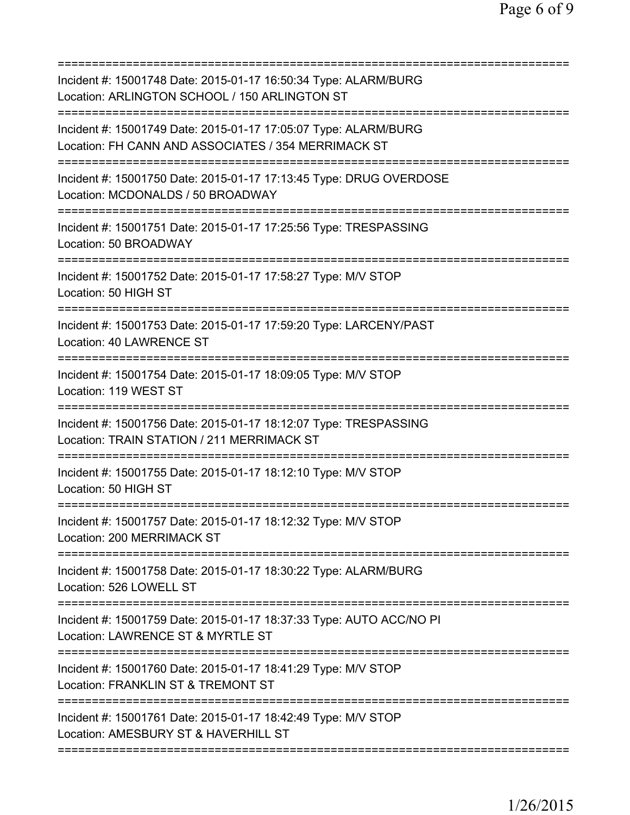| Incident #: 15001748 Date: 2015-01-17 16:50:34 Type: ALARM/BURG<br>Location: ARLINGTON SCHOOL / 150 ARLINGTON ST       |
|------------------------------------------------------------------------------------------------------------------------|
| Incident #: 15001749 Date: 2015-01-17 17:05:07 Type: ALARM/BURG<br>Location: FH CANN AND ASSOCIATES / 354 MERRIMACK ST |
| Incident #: 15001750 Date: 2015-01-17 17:13:45 Type: DRUG OVERDOSE<br>Location: MCDONALDS / 50 BROADWAY                |
| Incident #: 15001751 Date: 2015-01-17 17:25:56 Type: TRESPASSING<br>Location: 50 BROADWAY                              |
| Incident #: 15001752 Date: 2015-01-17 17:58:27 Type: M/V STOP<br>Location: 50 HIGH ST                                  |
| Incident #: 15001753 Date: 2015-01-17 17:59:20 Type: LARCENY/PAST<br>Location: 40 LAWRENCE ST                          |
| Incident #: 15001754 Date: 2015-01-17 18:09:05 Type: M/V STOP<br>Location: 119 WEST ST<br>==================           |
| Incident #: 15001756 Date: 2015-01-17 18:12:07 Type: TRESPASSING<br>Location: TRAIN STATION / 211 MERRIMACK ST         |
| Incident #: 15001755 Date: 2015-01-17 18:12:10 Type: M/V STOP<br>Location: 50 HIGH ST                                  |
| ===================<br>Incident #: 15001757 Date: 2015-01-17 18:12:32 Type: M/V STOP<br>Location: 200 MERRIMACK ST     |
| Incident #: 15001758 Date: 2015-01-17 18:30:22 Type: ALARM/BURG<br>Location: 526 LOWELL ST                             |
| Incident #: 15001759 Date: 2015-01-17 18:37:33 Type: AUTO ACC/NO PI<br>Location: LAWRENCE ST & MYRTLE ST               |
| Incident #: 15001760 Date: 2015-01-17 18:41:29 Type: M/V STOP<br>Location: FRANKLIN ST & TREMONT ST                    |
| Incident #: 15001761 Date: 2015-01-17 18:42:49 Type: M/V STOP<br>Location: AMESBURY ST & HAVERHILL ST                  |
|                                                                                                                        |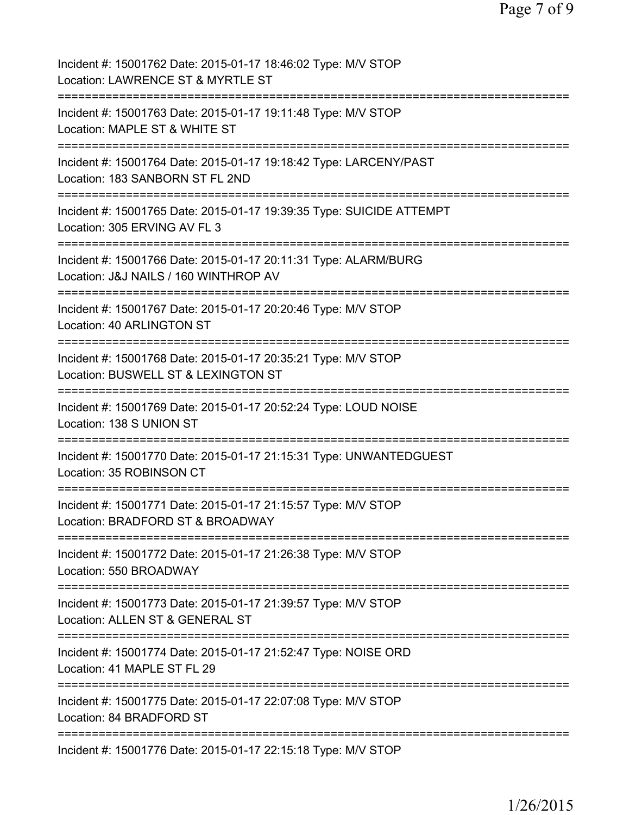| Incident #: 15001762 Date: 2015-01-17 18:46:02 Type: M/V STOP<br>Location: LAWRENCE ST & MYRTLE ST                              |
|---------------------------------------------------------------------------------------------------------------------------------|
| Incident #: 15001763 Date: 2015-01-17 19:11:48 Type: M/V STOP<br>Location: MAPLE ST & WHITE ST                                  |
| Incident #: 15001764 Date: 2015-01-17 19:18:42 Type: LARCENY/PAST<br>Location: 183 SANBORN ST FL 2ND                            |
| Incident #: 15001765 Date: 2015-01-17 19:39:35 Type: SUICIDE ATTEMPT<br>Location: 305 ERVING AV FL 3                            |
| Incident #: 15001766 Date: 2015-01-17 20:11:31 Type: ALARM/BURG<br>Location: J&J NAILS / 160 WINTHROP AV                        |
| Incident #: 15001767 Date: 2015-01-17 20:20:46 Type: M/V STOP<br>Location: 40 ARLINGTON ST                                      |
| Incident #: 15001768 Date: 2015-01-17 20:35:21 Type: M/V STOP<br>Location: BUSWELL ST & LEXINGTON ST<br>:====================== |
| Incident #: 15001769 Date: 2015-01-17 20:52:24 Type: LOUD NOISE<br>Location: 138 S UNION ST                                     |
| Incident #: 15001770 Date: 2015-01-17 21:15:31 Type: UNWANTEDGUEST<br>Location: 35 ROBINSON CT                                  |
| Incident #: 15001771 Date: 2015-01-17 21:15:57 Type: M/V STOP<br>Location: BRADFORD ST & BROADWAY                               |
| Incident #: 15001772 Date: 2015-01-17 21:26:38 Type: M/V STOP<br>Location: 550 BROADWAY                                         |
| Incident #: 15001773 Date: 2015-01-17 21:39:57 Type: M/V STOP<br>Location: ALLEN ST & GENERAL ST                                |
| Incident #: 15001774 Date: 2015-01-17 21:52:47 Type: NOISE ORD<br>Location: 41 MAPLE ST FL 29                                   |
| Incident #: 15001775 Date: 2015-01-17 22:07:08 Type: M/V STOP<br>Location: 84 BRADFORD ST                                       |
| Incident #: 15001776 Date: 2015-01-17 22:15:18 Type: M/V STOP                                                                   |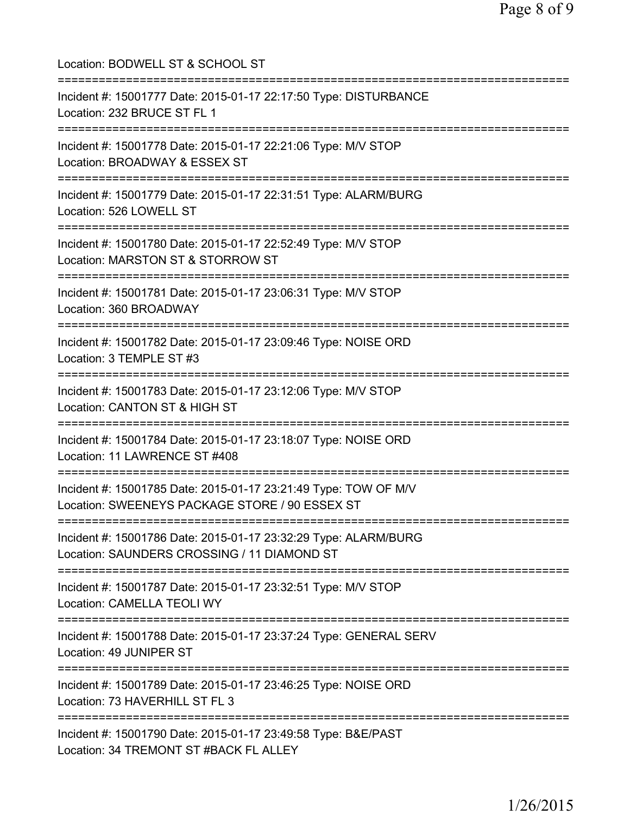| Location: BODWELL ST & SCHOOL ST                                                                                                      |
|---------------------------------------------------------------------------------------------------------------------------------------|
| Incident #: 15001777 Date: 2015-01-17 22:17:50 Type: DISTURBANCE<br>Location: 232 BRUCE ST FL 1<br>===============================    |
| Incident #: 15001778 Date: 2015-01-17 22:21:06 Type: M/V STOP<br>Location: BROADWAY & ESSEX ST                                        |
| Incident #: 15001779 Date: 2015-01-17 22:31:51 Type: ALARM/BURG<br>Location: 526 LOWELL ST                                            |
| ;==============================<br>Incident #: 15001780 Date: 2015-01-17 22:52:49 Type: M/V STOP<br>Location: MARSTON ST & STORROW ST |
| Incident #: 15001781 Date: 2015-01-17 23:06:31 Type: M/V STOP<br>Location: 360 BROADWAY                                               |
| Incident #: 15001782 Date: 2015-01-17 23:09:46 Type: NOISE ORD<br>Location: 3 TEMPLE ST #3                                            |
| Incident #: 15001783 Date: 2015-01-17 23:12:06 Type: M/V STOP<br>Location: CANTON ST & HIGH ST<br>:========================           |
| Incident #: 15001784 Date: 2015-01-17 23:18:07 Type: NOISE ORD<br>Location: 11 LAWRENCE ST #408                                       |
| Incident #: 15001785 Date: 2015-01-17 23:21:49 Type: TOW OF M/V<br>Location: SWEENEYS PACKAGE STORE / 90 ESSEX ST                     |
| Incident #: 15001786 Date: 2015-01-17 23:32:29 Type: ALARM/BURG<br>Location: SAUNDERS CROSSING / 11 DIAMOND ST                        |
| Incident #: 15001787 Date: 2015-01-17 23:32:51 Type: M/V STOP<br>Location: CAMELLA TEOLI WY                                           |
| Incident #: 15001788 Date: 2015-01-17 23:37:24 Type: GENERAL SERV<br>Location: 49 JUNIPER ST                                          |
| Incident #: 15001789 Date: 2015-01-17 23:46:25 Type: NOISE ORD<br>Location: 73 HAVERHILL ST FL 3                                      |
| Incident #: 15001790 Date: 2015-01-17 23:49:58 Type: B&E/PAST<br>Location: 34 TREMONT ST #BACK FL ALLEY                               |